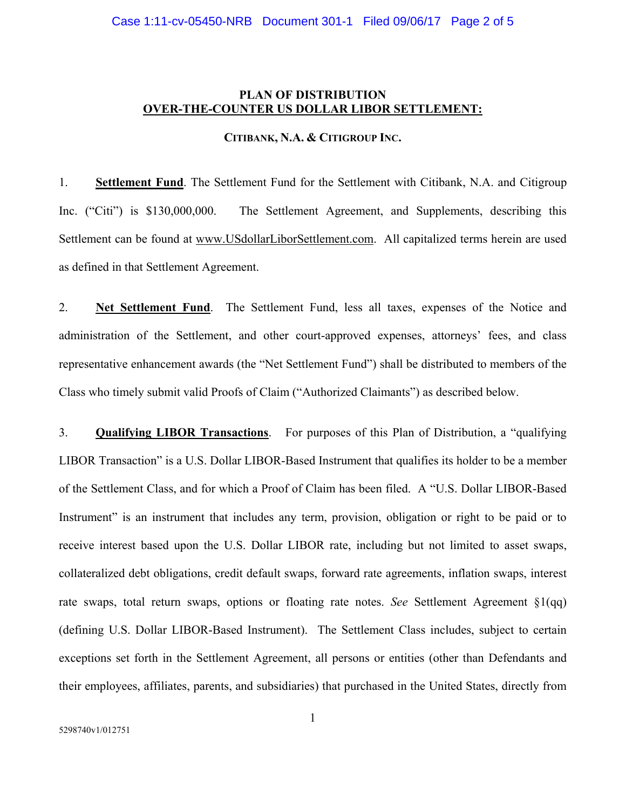## **PLAN OF DISTRIBUTION OVER-THE-COUNTER US DOLLAR LIBOR SETTLEMENT:**

## **CITIBANK, N.A. & CITIGROUP INC.**

1. **Settlement Fund**. The Settlement Fund for the Settlement with Citibank, N.A. and Citigroup Inc. ("Citi") is \$130,000,000. The Settlement Agreement, and Supplements, describing this Settlement can be found at www.USdollarLiborSettlement.com. All capitalized terms herein are used as defined in that Settlement Agreement.

2. **Net Settlement Fund**. The Settlement Fund, less all taxes, expenses of the Notice and administration of the Settlement, and other court-approved expenses, attorneys' fees, and class representative enhancement awards (the "Net Settlement Fund") shall be distributed to members of the Class who timely submit valid Proofs of Claim ("Authorized Claimants") as described below.

3. **Qualifying LIBOR Transactions**. For purposes of this Plan of Distribution, a "qualifying LIBOR Transaction" is a U.S. Dollar LIBOR-Based Instrument that qualifies its holder to be a member of the Settlement Class, and for which a Proof of Claim has been filed. A "U.S. Dollar LIBOR-Based Instrument" is an instrument that includes any term, provision, obligation or right to be paid or to receive interest based upon the U.S. Dollar LIBOR rate, including but not limited to asset swaps, collateralized debt obligations, credit default swaps, forward rate agreements, inflation swaps, interest rate swaps, total return swaps, options or floating rate notes. *See* Settlement Agreement §1(qq) (defining U.S. Dollar LIBOR-Based Instrument). The Settlement Class includes, subject to certain exceptions set forth in the Settlement Agreement, all persons or entities (other than Defendants and their employees, affiliates, parents, and subsidiaries) that purchased in the United States, directly from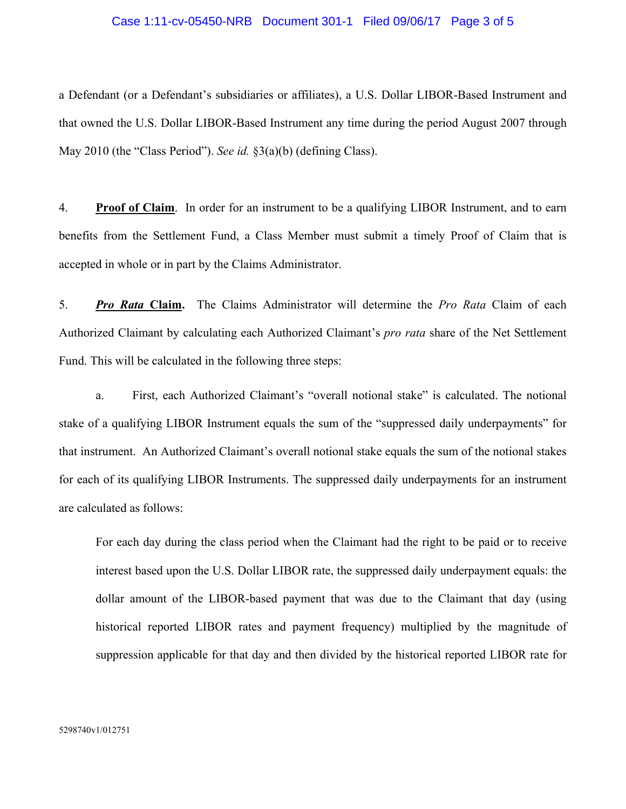## Case 1:11-cv-05450-NRB Document 301-1 Filed 09/06/17 Page 3 of 5

a Defendant (or a Defendant's subsidiaries or affiliates), a U.S. Dollar LIBOR-Based Instrument and that owned the U.S. Dollar LIBOR-Based Instrument any time during the period August 2007 through May 2010 (the "Class Period"). *See id.* §3(a)(b) (defining Class).

4. **Proof of Claim**. In order for an instrument to be a qualifying LIBOR Instrument, and to earn benefits from the Settlement Fund, a Class Member must submit a timely Proof of Claim that is accepted in whole or in part by the Claims Administrator.

5. *Pro Rata* **Claim.** The Claims Administrator will determine the *Pro Rata* Claim of each Authorized Claimant by calculating each Authorized Claimant's *pro rata* share of the Net Settlement Fund. This will be calculated in the following three steps:

a. First, each Authorized Claimant's "overall notional stake" is calculated. The notional stake of a qualifying LIBOR Instrument equals the sum of the "suppressed daily underpayments" for that instrument. An Authorized Claimant's overall notional stake equals the sum of the notional stakes for each of its qualifying LIBOR Instruments. The suppressed daily underpayments for an instrument are calculated as follows:

For each day during the class period when the Claimant had the right to be paid or to receive interest based upon the U.S. Dollar LIBOR rate, the suppressed daily underpayment equals: the dollar amount of the LIBOR-based payment that was due to the Claimant that day (using historical reported LIBOR rates and payment frequency) multiplied by the magnitude of suppression applicable for that day and then divided by the historical reported LIBOR rate for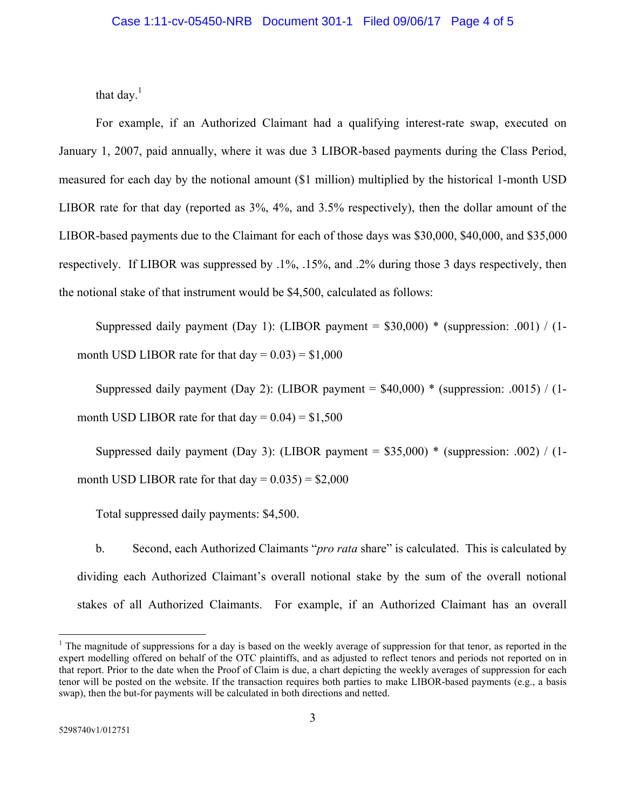that day. $<sup>1</sup>$ </sup>

For example, if an Authorized Claimant had a qualifying interest-rate swap, executed on January 1, 2007, paid annually, where it was due 3 LIBOR-based payments during the Class Period, measured for each day by the notional amount (\$1 million) multiplied by the historical 1-month USD LIBOR rate for that day (reported as 3%, 4%, and 3.5% respectively), then the dollar amount of the LIBOR-based payments due to the Claimant for each of those days was \$30,000, \$40,000, and \$35,000 respectively. If LIBOR was suppressed by .1%, .15%, and .2% during those 3 days respectively, then the notional stake of that instrument would be \$4,500, calculated as follows:

Suppressed daily payment (Day 1): (LIBOR payment =  $$30,000$ ) \* (suppression: .001) / (1month USD LIBOR rate for that  $day = 0.03$ ) = \$1,000

Suppressed daily payment (Day 2): (LIBOR payment =  $$40,000$ ) \* (suppression: .0015) / (1month USD LIBOR rate for that  $day = 0.04$  = \$1,500

Suppressed daily payment (Day 3): (LIBOR payment =  $$35,000$ ) \* (suppression: .002) / (1month USD LIBOR rate for that  $day = 0.035$  = \$2,000

Total suppressed daily payments: \$4,500.

b. Second, each Authorized Claimants "*pro rata* share" is calculated. This is calculated by dividing each Authorized Claimant's overall notional stake by the sum of the overall notional stakes of all Authorized Claimants. For example, if an Authorized Claimant has an overall

 $\overline{a}$ 

 $1$  The magnitude of suppressions for a day is based on the weekly average of suppression for that tenor, as reported in the expert modelling offered on behalf of the OTC plaintiffs, and as adjusted to reflect tenors and periods not reported on in that report. Prior to the date when the Proof of Claim is due, a chart depicting the weekly averages of suppression for each tenor will be posted on the website. If the transaction requires both parties to make LIBOR-based payments (e.g., a basis swap), then the but-for payments will be calculated in both directions and netted.